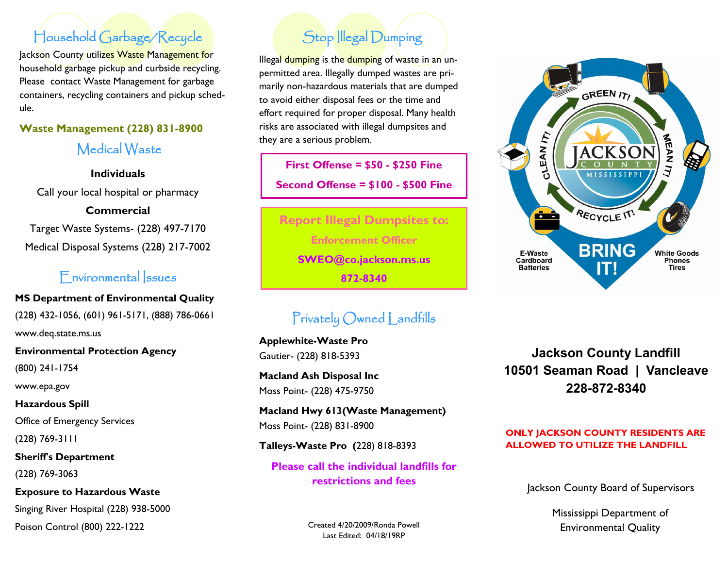# Household Garbage/Recycle

Jackson County utilizes Waste Management for household garbage pickup and curbside recycling. Please contact Waste Management for garbage containers, recycling containers and pickup schedule.

### **Waste Management (228) 831-8900**

Medical Waste

**Individuals**

Call your local hospital or pharmacy

**Commercial**

Target Waste Systems- (228) 497-7170 Medical Disposal Systems (228) 217-7002

# Environmental Issues

**MS Department of Environmental Quality** (228) 432-1056, (601) 961-5171, (888) 786-0661

www.deq.state.ms.us

**Environmental Protection Agency**

(800) 241-1754

www.epa.gov

**Hazardous Spill** Office of Emergency Services

(228) 769-3111

**Sheriff's Department** (228) 769-3063

**Exposure to Hazardous Waste** Singing River Hospital (228) 938-5000

Poison Control (800) 222-1222

# Stop Illegal Dumping

Illegal dumping is the dumping of waste in an unpermitted area. Illegally dumped wastes are primarily non-hazardous materials that are dumped to avoid either disposal fees or the time and effort required for proper disposal. Many health risks are associated with illegal dumpsites and they are a serious problem.

**First Offense = \$50 - \$250 Fine Second Offense = \$100 - \$500 Fine**

**Report Illegal Dumpsites to: Enforcement Officer SWEO@co.jackson.ms.us 872-8340**

# Privately Owned Landfills

**Applewhite-Waste Pro** Gautier- (228) 818-5393

**Macland Ash Disposal Inc** Moss Point- (228) 475-9750

**Macland Hwy 613(Waste Management)** Moss Point- (228) 831-8900

**Talleys-Waste Pro (**228) 818-8393

**Please call the individual landfills for restrictions and fees**

> Created 4/20/2009/Ronda Powell Last Edited: 04/18/19RP



**Jackson County Landfill 10501 Seaman Road | Vancleave 228-872-8340**

#### **ONLY JACKSON COUNTY RESIDENTS ARE ALLOWED TO UTILIZE THE LANDFILL**

Jackson County Board of Supervisors

Mississippi Department of Environmental Quality